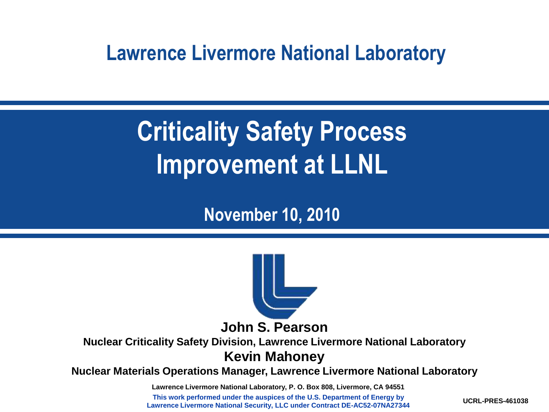#### **Lawrence Livermore National Laboratory**

# **Criticality Safety Process Improvement at LLNL**

**November 10, 2010**



**Nuclear Criticality Safety Division, Lawrence Livermore National Laboratory Kevin Mahoney**

**Nuclear Materials Operations Manager, Lawrence Livermore National Laboratory** 

**Lawrence Livermore National Laboratory, P. O. Box 808, Livermore, CA 94551**

**This work performed under the auspices of the U.S. Department of Energy by Lawrence Livermore National Security, LLC under Contract DE-AC52-07NA27344**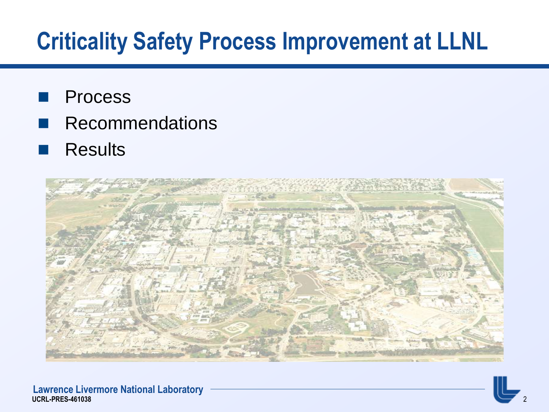## **Criticality Safety Process Improvement at LLNL**

- Process
- Recommendations
- **Results**

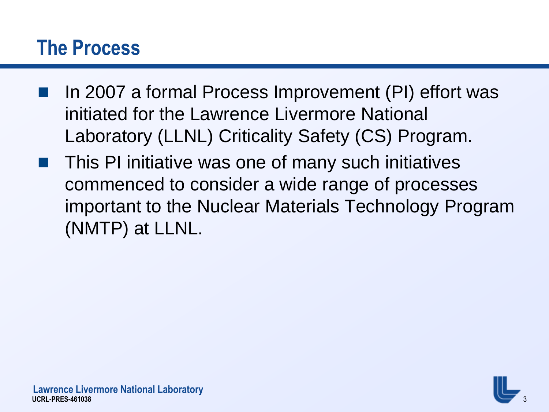#### **The Process**

- In 2007 a formal Process Improvement (PI) effort was initiated for the Lawrence Livermore National Laboratory (LLNL) Criticality Safety (CS) Program.
- This PI initiative was one of many such initiatives commenced to consider a wide range of processes important to the Nuclear Materials Technology Program (NMTP) at LLNL.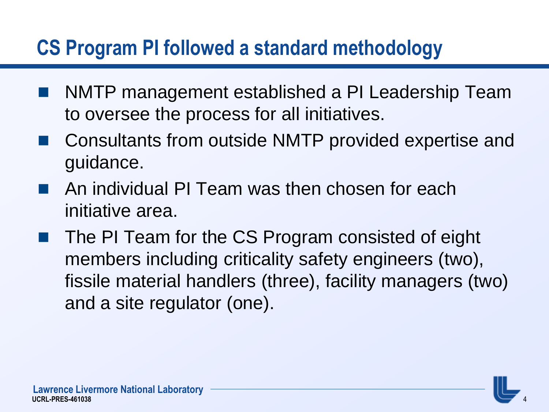### **CS Program PI followed a standard methodology**

- NMTP management established a PI Leadership Team to oversee the process for all initiatives.
- Consultants from outside NMTP provided expertise and guidance.
- An individual PI Team was then chosen for each initiative area.
- The PI Team for the CS Program consisted of eight members including criticality safety engineers (two), fissile material handlers (three), facility managers (two) and a site regulator (one).

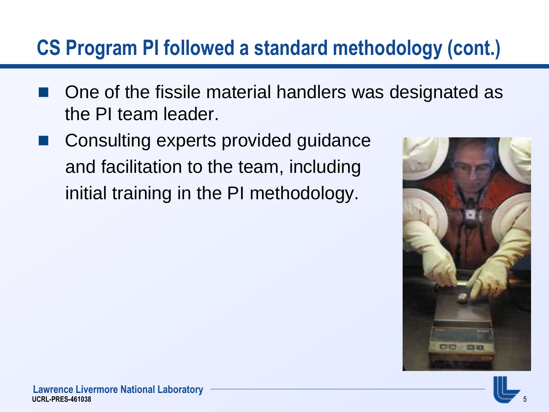### **CS Program PI followed a standard methodology (cont.)**

- One of the fissile material handlers was designated as the PI team leader.
- Consulting experts provided guidance and facilitation to the team, including initial training in the PI methodology.



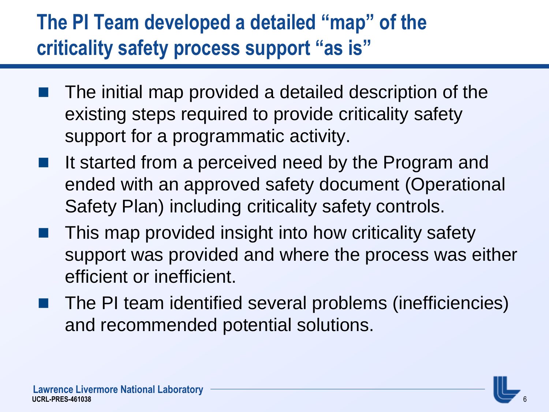### **The PI Team developed a detailed "map" of the criticality safety process support "as is"**

- The initial map provided a detailed description of the existing steps required to provide criticality safety support for a programmatic activity.
- It started from a perceived need by the Program and ended with an approved safety document (Operational Safety Plan) including criticality safety controls.
- This map provided insight into how criticality safety support was provided and where the process was either efficient or inefficient.
- The PI team identified several problems (inefficiencies) and recommended potential solutions.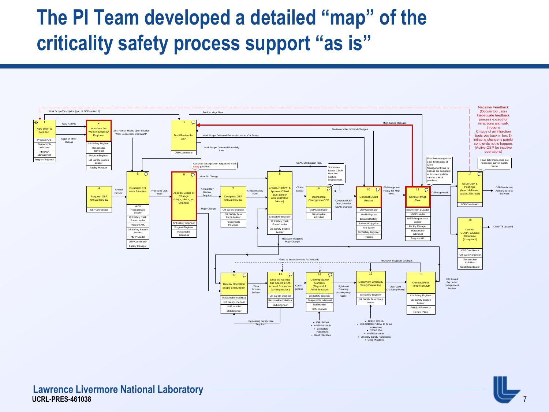### **The PI Team developed a detailed "map" of the criticality safety process support "as is"**



7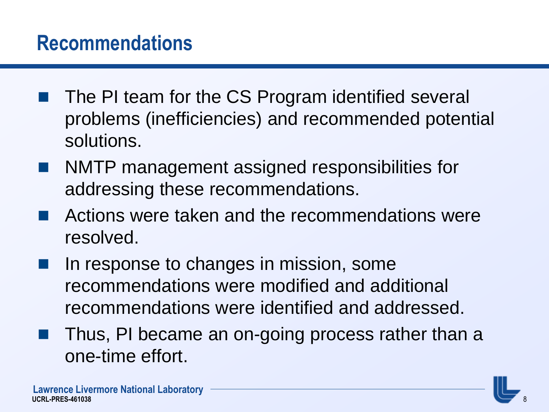#### **Recommendations**

- The PI team for the CS Program identified several problems (inefficiencies) and recommended potential solutions.
- NMTP management assigned responsibilities for addressing these recommendations.
- Actions were taken and the recommendations were resolved.
- In response to changes in mission, some recommendations were modified and additional recommendations were identified and addressed.
- Thus, PI became an on-going process rather than a one-time effort.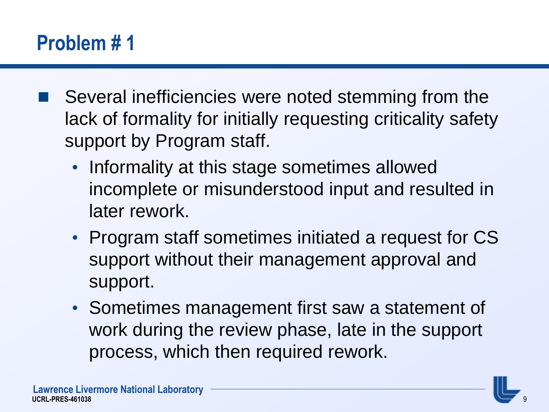### **Problem # 1**

- Several inefficiencies were noted stemming from the lack of formality for initially requesting criticality safety support by Program staff.
	- Informality at this stage sometimes allowed incomplete or misunderstood input and resulted in later rework.
	- Program staff sometimes initiated a request for CS support without their management approval and support.
	- Sometimes management first saw a statement of work during the review phase, late in the support process, which then required rework.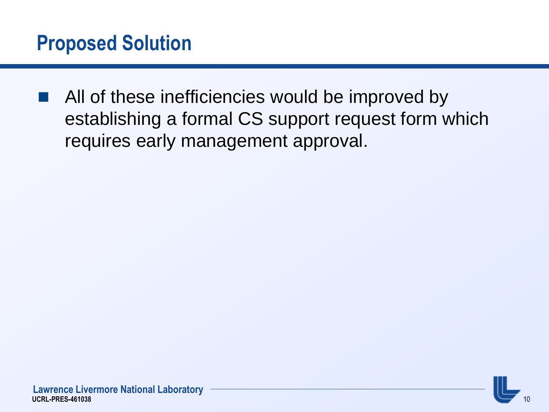■ All of these inefficiencies would be improved by establishing a formal CS support request form which requires early management approval.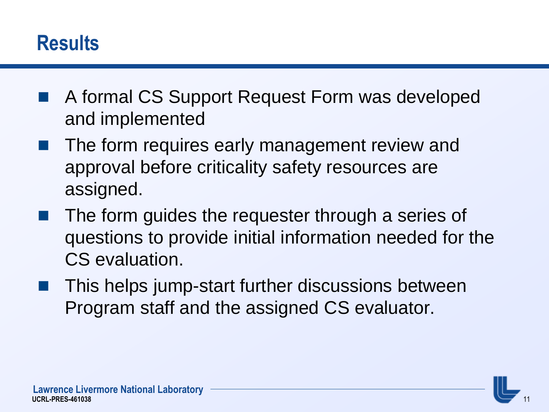#### **Results**

- A formal CS Support Request Form was developed and implemented
- The form requires early management review and approval before criticality safety resources are assigned.
- The form guides the requester through a series of questions to provide initial information needed for the CS evaluation.
- This helps jump-start further discussions between Program staff and the assigned CS evaluator.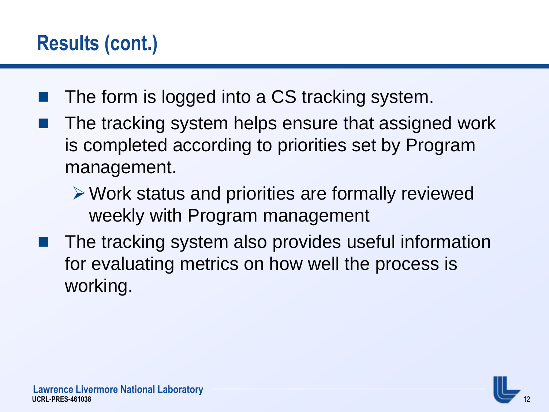### **Results (cont.)**

- The form is logged into a CS tracking system.
- The tracking system helps ensure that assigned work is completed according to priorities set by Program management.
	- Work status and priorities are formally reviewed weekly with Program management
- The tracking system also provides useful information for evaluating metrics on how well the process is working.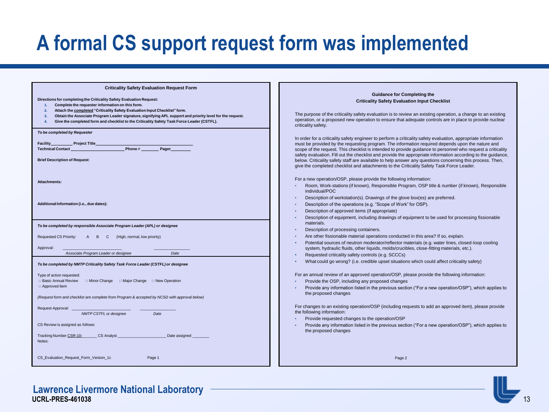### **A formal CS support request form was implemented**

| <b>Criticality Safety Evaluation Request Form</b><br>Directions for completing the Criticality Safety Evaluation Request:<br>Complete the requester information on this form.<br>1.<br>Attach the completed "Criticality Safety Evaluation Input Checklist" form.<br>2.<br>Obtain the Associate Program Leader signature, signifying APL support and priority level for the request.<br>3.<br>Give the completed form and checklist to the Criticality Safety Task Force Leader (CSTFL).<br>4. | <b>Guidance for Completing the</b><br><b>Criticality Safety Evaluation Input Checklist</b><br>The purpose of the criticality safety evaluation is to review an existing operation, a change to an existing<br>operation, or a proposed new operation to ensure that adequate controls are in place to provide nuclear<br>criticality safety.                                                                                                                                                                                                                                                                                                                |
|------------------------------------------------------------------------------------------------------------------------------------------------------------------------------------------------------------------------------------------------------------------------------------------------------------------------------------------------------------------------------------------------------------------------------------------------------------------------------------------------|-------------------------------------------------------------------------------------------------------------------------------------------------------------------------------------------------------------------------------------------------------------------------------------------------------------------------------------------------------------------------------------------------------------------------------------------------------------------------------------------------------------------------------------------------------------------------------------------------------------------------------------------------------------|
| To be completed by Requester                                                                                                                                                                                                                                                                                                                                                                                                                                                                   |                                                                                                                                                                                                                                                                                                                                                                                                                                                                                                                                                                                                                                                             |
| <b>Project Title</b><br>Facility<br>Phone#<br><b>Technical Contact</b><br>Pager<br><b>Brief Description of Request:</b>                                                                                                                                                                                                                                                                                                                                                                        | In order for a criticality safety engineer to perform a criticality safety evaluation, appropriate information<br>must be provided by the requesting program. The information required depends upon the nature and<br>scope of the request. This checklist is intended to provide guidance to personnel who request a criticality<br>safety evaluation. Fill out the checklist and provide the appropriate information according to the guidance,<br>below. Criticality safety staff are available to help answer any questions concerning this process. Then,<br>give the completed checklist and attachments to the Criticality Safety Task Force Leader. |
|                                                                                                                                                                                                                                                                                                                                                                                                                                                                                                | For a new operation/OSP, please provide the following information:                                                                                                                                                                                                                                                                                                                                                                                                                                                                                                                                                                                          |
| <b>Attachments:</b>                                                                                                                                                                                                                                                                                                                                                                                                                                                                            | Room, Work-stations (if known), Responsible Program, OSP title & number (if known), Responsible<br>individual/POC                                                                                                                                                                                                                                                                                                                                                                                                                                                                                                                                           |
|                                                                                                                                                                                                                                                                                                                                                                                                                                                                                                | Description of workstation(s). Drawings of the glove box(es) are preferred.                                                                                                                                                                                                                                                                                                                                                                                                                                                                                                                                                                                 |
| Additional Information (i.e., due dates):                                                                                                                                                                                                                                                                                                                                                                                                                                                      | Description of the operations (e.g. "Scope of Work" for OSP).                                                                                                                                                                                                                                                                                                                                                                                                                                                                                                                                                                                               |
|                                                                                                                                                                                                                                                                                                                                                                                                                                                                                                | Description of approved items (if appropriate)                                                                                                                                                                                                                                                                                                                                                                                                                                                                                                                                                                                                              |
|                                                                                                                                                                                                                                                                                                                                                                                                                                                                                                | Description of equipment, including drawings of equipment to be used for processing fissionable                                                                                                                                                                                                                                                                                                                                                                                                                                                                                                                                                             |
| To be completed by responsible Associate Program Leader (APL) or designee                                                                                                                                                                                                                                                                                                                                                                                                                      | materials.                                                                                                                                                                                                                                                                                                                                                                                                                                                                                                                                                                                                                                                  |
|                                                                                                                                                                                                                                                                                                                                                                                                                                                                                                | Description of processing containers.<br>Are other fissionable material operations conducted in this area? If so, explain.                                                                                                                                                                                                                                                                                                                                                                                                                                                                                                                                  |
| Requested CS Priority:<br>(High, normal, low priority)<br>A B C                                                                                                                                                                                                                                                                                                                                                                                                                                | Potential sources of neutron moderator/reflector materials (e.g. water lines, closed-loop cooling                                                                                                                                                                                                                                                                                                                                                                                                                                                                                                                                                           |
| Approval:                                                                                                                                                                                                                                                                                                                                                                                                                                                                                      | system, hydraulic fluids, other liquids, molds/crucibles, close-fitting materials, etc.).                                                                                                                                                                                                                                                                                                                                                                                                                                                                                                                                                                   |
| Associate Program Leader or designee<br>Date                                                                                                                                                                                                                                                                                                                                                                                                                                                   | Requested criticality safety controls (e.g. SCCCs)                                                                                                                                                                                                                                                                                                                                                                                                                                                                                                                                                                                                          |
| To be completed by NMTP Criticality Safety Task Force Leader (CSTFL) or designee                                                                                                                                                                                                                                                                                                                                                                                                               | What could go wrong? (i.e. credible upset situations which could affect criticality safety)                                                                                                                                                                                                                                                                                                                                                                                                                                                                                                                                                                 |
| Type of action requested:                                                                                                                                                                                                                                                                                                                                                                                                                                                                      | For an annual review of an approved operation/OSP, please provide the following information:                                                                                                                                                                                                                                                                                                                                                                                                                                                                                                                                                                |
| □ Basic Annual Review<br>$\Box$ Minor Change $\Box$ Major Change $\Box$ New Operation                                                                                                                                                                                                                                                                                                                                                                                                          | Provide the OSP, including any proposed changes                                                                                                                                                                                                                                                                                                                                                                                                                                                                                                                                                                                                             |
| □ Approved Item<br>(Request form and checklist are complete from Program & accepted by NCSD with approval below)                                                                                                                                                                                                                                                                                                                                                                               | Provide any information listed in the previous section ("For a new operation/OSP"), which applies to<br>the proposed changes                                                                                                                                                                                                                                                                                                                                                                                                                                                                                                                                |
|                                                                                                                                                                                                                                                                                                                                                                                                                                                                                                |                                                                                                                                                                                                                                                                                                                                                                                                                                                                                                                                                                                                                                                             |
| Request Approval:<br>NMTP CSTFL or designee<br>Date                                                                                                                                                                                                                                                                                                                                                                                                                                            | For changes to an existing operation/OSP (including requests to add an approved item), please provide<br>the following information:                                                                                                                                                                                                                                                                                                                                                                                                                                                                                                                         |
|                                                                                                                                                                                                                                                                                                                                                                                                                                                                                                | Provide requested changes to the operation/OSP                                                                                                                                                                                                                                                                                                                                                                                                                                                                                                                                                                                                              |
| CS Review is assigned as follows:                                                                                                                                                                                                                                                                                                                                                                                                                                                              | Provide any information listed in the previous section ("For a new operation/OSP"), which applies to<br>the proposed changes                                                                                                                                                                                                                                                                                                                                                                                                                                                                                                                                |
| Tracking Number CSR-10-<br><b>CS Analyst</b><br>Date assigned<br>Notes:                                                                                                                                                                                                                                                                                                                                                                                                                        |                                                                                                                                                                                                                                                                                                                                                                                                                                                                                                                                                                                                                                                             |
| CS_Evaluation_Request_Form_Version_1c<br>Page 1                                                                                                                                                                                                                                                                                                                                                                                                                                                | Page 2                                                                                                                                                                                                                                                                                                                                                                                                                                                                                                                                                                                                                                                      |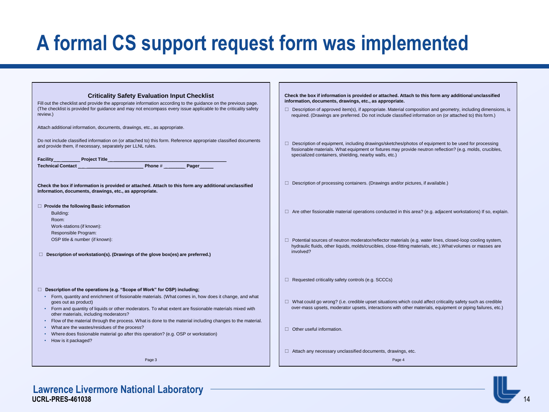### **A formal CS support request form was implemented**

| <b>Criticality Safety Evaluation Input Checklist</b><br>Fill out the checklist and provide the appropriate information according to the guidance on the previous page.<br>(The checklist is provided for guidance and may not encompass every issue applicable to the criticality safety<br>review.)<br>Attach additional information, documents, drawings, etc., as appropriate. | Check the box if information is provided or attached. Attach to this form any additional unclassified<br>information, documents, drawings, etc., as appropriate.<br>$\Box$ Description of approved item(s), if appropriate. Material composition and geometry, including dimensions, is<br>required. (Drawings are preferred. Do not include classified information on (or attached to) this form.) |
|-----------------------------------------------------------------------------------------------------------------------------------------------------------------------------------------------------------------------------------------------------------------------------------------------------------------------------------------------------------------------------------|-----------------------------------------------------------------------------------------------------------------------------------------------------------------------------------------------------------------------------------------------------------------------------------------------------------------------------------------------------------------------------------------------------|
| Do not include classified information on (or attached to) this form. Reference appropriate classified documents<br>and provide them, if necessary, separately per LLNL rules.<br>Facility Project Title                                                                                                                                                                           | Description of equipment, including drawings/sketches/photos of equipment to be used for processing<br>$\Box$<br>fissionable materials. What equipment or fixtures may provide neutron reflection? (e.g. molds, crucibles,<br>specialized containers, shielding, nearby walls, etc.)                                                                                                                |
| Check the box if information is provided or attached. Attach to this form any additional unclassified<br>information, documents, drawings, etc., as appropriate.                                                                                                                                                                                                                  | $\Box$ Description of processing containers. (Drawings and/or pictures, if available.)                                                                                                                                                                                                                                                                                                              |
| $\Box$ Provide the following Basic information<br>Building:<br>Room:<br>Work-stations (if known):                                                                                                                                                                                                                                                                                 | $\Box$ Are other fissionable material operations conducted in this area? (e.g. adjacent workstations) If so, explain.                                                                                                                                                                                                                                                                               |
| Responsible Program:<br>OSP title & number (if known):<br>$\Box$ Description of workstation(s). (Drawings of the glove box(es) are preferred.)                                                                                                                                                                                                                                    | $\Box$ Potential sources of neutron moderator/reflector materials (e.g. water lines, closed-loop cooling system,<br>hydraulic fluids, other liquids, molds/crucibles, close-fitting materials, etc.). What volumes or masses are<br>involved?                                                                                                                                                       |
| $\Box$ Description of the operations (e.g. "Scope of Work" for OSP) including:                                                                                                                                                                                                                                                                                                    | $\Box$ Requested criticality safety controls (e.g. SCCCs)                                                                                                                                                                                                                                                                                                                                           |
| • Form, quantity and enrichment of fissionable materials. (What comes in, how does it change, and what<br>goes out as product)<br>• Form and quantity of liquids or other moderators. To what extent are fissionable materials mixed with<br>other materials, including moderators?                                                                                               | $\Box$ What could go wrong? (i.e. credible upset situations which could affect criticality safety such as credible<br>over-mass upsets, moderator upsets, interactions with other materials, equipment or piping failures, etc.)                                                                                                                                                                    |
| Flow of the material through the process. What is done to the material including changes to the material.<br>What are the wastes/residues of the process?<br>Where does fissionable material go after this operation? (e.g. OSP or workstation)<br>• How is it packaged?                                                                                                          | $\Box$ Other useful information.                                                                                                                                                                                                                                                                                                                                                                    |
| Page 3                                                                                                                                                                                                                                                                                                                                                                            | $\Box$ Attach any necessary unclassified documents, drawings, etc.<br>Page 4                                                                                                                                                                                                                                                                                                                        |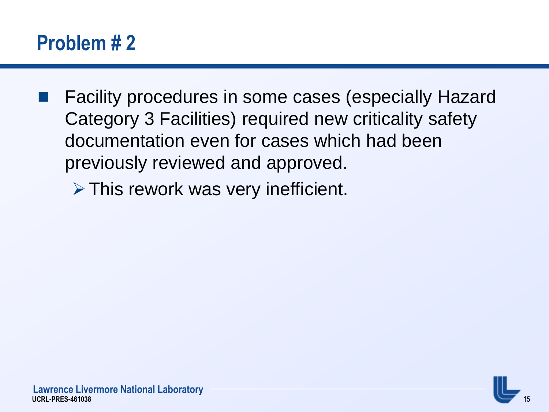### **Problem # 2**

 Facility procedures in some cases (especially Hazard Category 3 Facilities) required new criticality safety documentation even for cases which had been previously reviewed and approved.

 $\triangleright$  This rework was very inefficient.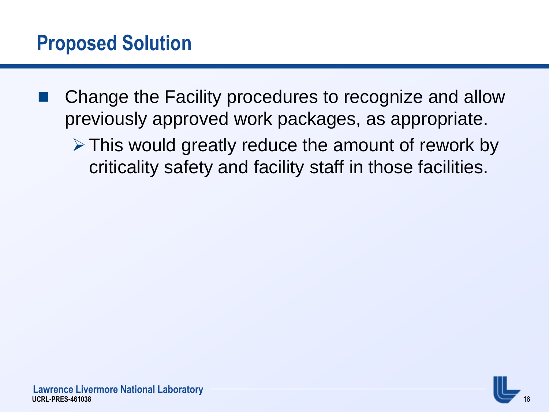- Change the Facility procedures to recognize and allow previously approved work packages, as appropriate.
	- $\triangleright$  This would greatly reduce the amount of rework by criticality safety and facility staff in those facilities.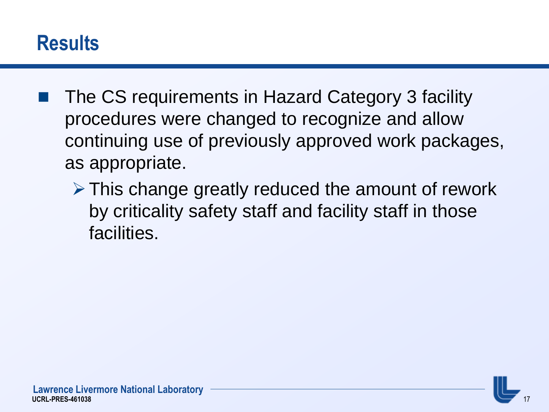#### **Results**

- The CS requirements in Hazard Category 3 facility procedures were changed to recognize and allow continuing use of previously approved work packages, as appropriate.
	- $\triangleright$  This change greatly reduced the amount of rework by criticality safety staff and facility staff in those facilities.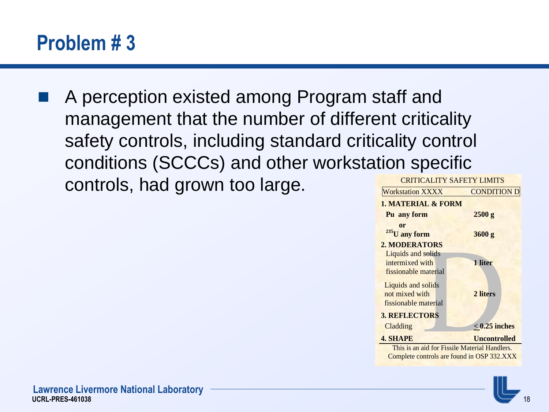### **Problem # 3**

 A perception existed among Program staff and management that the number of different criticality safety controls, including standard criticality control conditions (SCCCs) and other workstation specific controls, had grown too large.



This is an aid for Fissile Material Handlers. Complete controls are found in OSP 332.XXX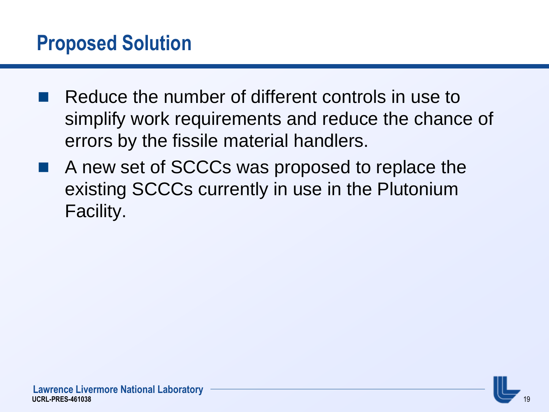#### **Proposed Solution**

- Reduce the number of different controls in use to simplify work requirements and reduce the chance of errors by the fissile material handlers.
- A new set of SCCCs was proposed to replace the existing SCCCs currently in use in the Plutonium Facility.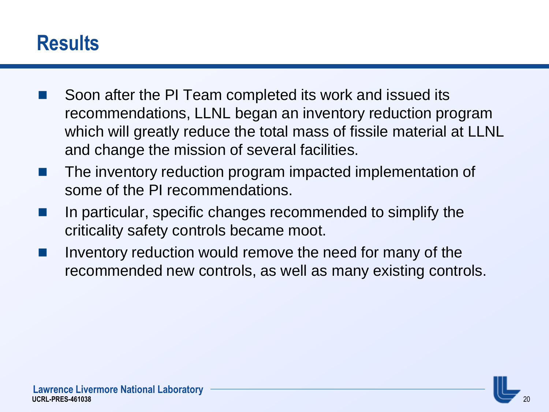#### **Results**

- Soon after the PI Team completed its work and issued its recommendations, LLNL began an inventory reduction program which will greatly reduce the total mass of fissile material at LLNL and change the mission of several facilities.
- **The inventory reduction program impacted implementation of** some of the PI recommendations.
- $\blacksquare$  In particular, specific changes recommended to simplify the criticality safety controls became moot.
- Inventory reduction would remove the need for many of the recommended new controls, as well as many existing controls.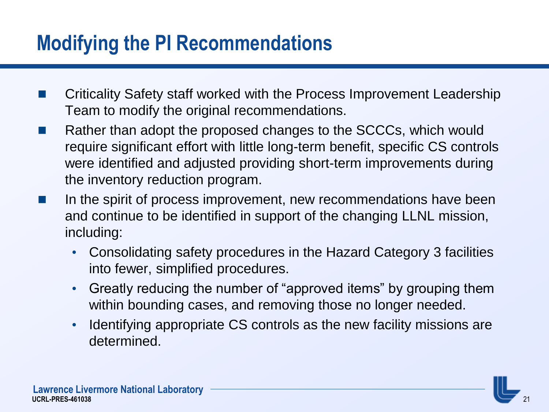### **Modifying the PI Recommendations**

- Criticality Safety staff worked with the Process Improvement Leadership Team to modify the original recommendations.
- Rather than adopt the proposed changes to the SCCCs, which would require significant effort with little long-term benefit, specific CS controls were identified and adjusted providing short-term improvements during the inventory reduction program.
- $\blacksquare$  In the spirit of process improvement, new recommendations have been and continue to be identified in support of the changing LLNL mission, including:
	- Consolidating safety procedures in the Hazard Category 3 facilities into fewer, simplified procedures.
	- Greatly reducing the number of "approved items" by grouping them within bounding cases, and removing those no longer needed.
	- Identifying appropriate CS controls as the new facility missions are determined.